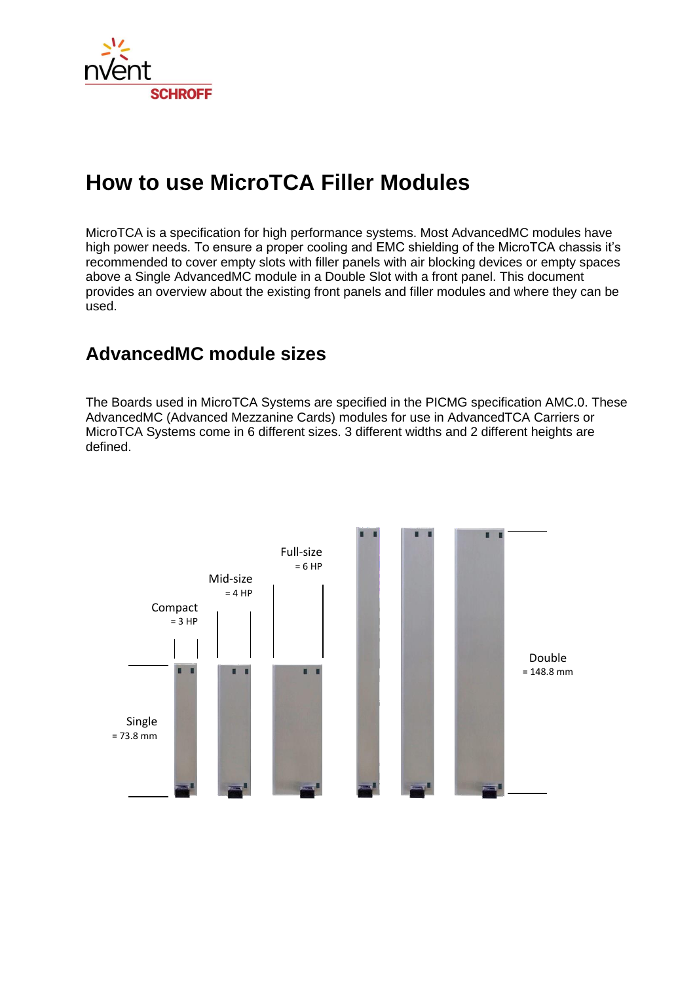

# **How to use MicroTCA Filler Modules**

MicroTCA is a specification for high performance systems. Most AdvancedMC modules have high power needs. To ensure a proper cooling and EMC shielding of the MicroTCA chassis it's recommended to cover empty slots with filler panels with air blocking devices or empty spaces above a Single AdvancedMC module in a Double Slot with a front panel. This document provides an overview about the existing front panels and filler modules and where they can be used.

# **AdvancedMC module sizes**

The Boards used in MicroTCA Systems are specified in the PICMG specification AMC.0. These AdvancedMC (Advanced Mezzanine Cards) modules for use in AdvancedTCA Carriers or MicroTCA Systems come in 6 different sizes. 3 different widths and 2 different heights are defined.

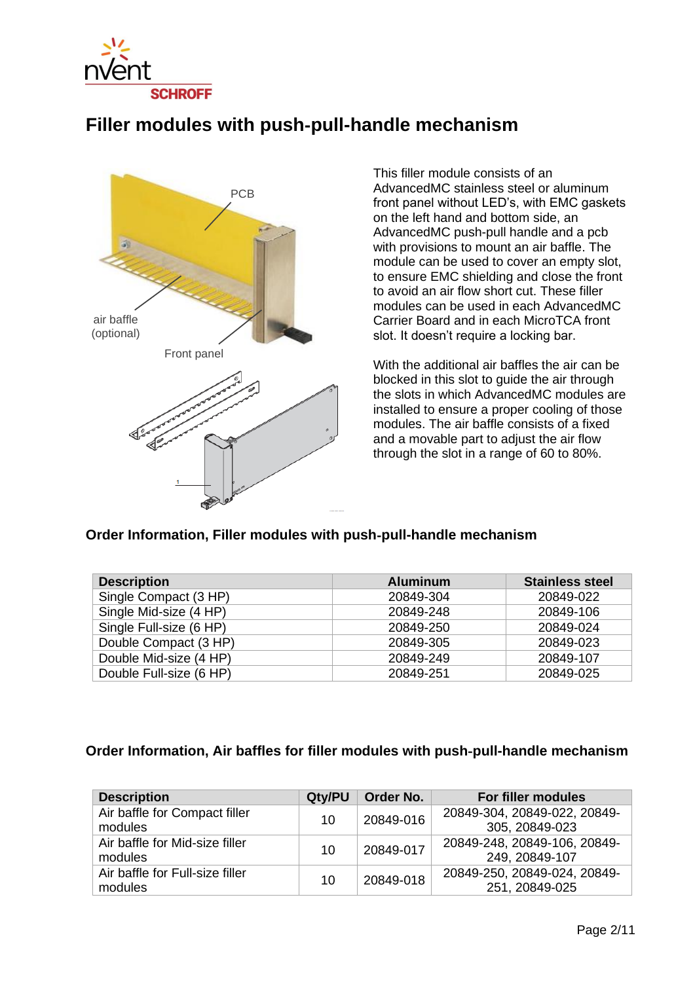

## **Filler modules with push**‐**pull-handle mechanism**



This filler module consists of an AdvancedMC stainless steel or aluminum front panel without LED's, with EMC gaskets on the left hand and bottom side, an AdvancedMC push-pull handle and a pcb with provisions to mount an air baffle. The module can be used to cover an empty slot, to ensure EMC shielding and close the front to avoid an air flow short cut. These filler modules can be used in each AdvancedMC Carrier Board and in each MicroTCA front slot. It doesn't require a locking bar.

With the additional air baffles the air can be blocked in this slot to guide the air through the slots in which AdvancedMC modules are installed to ensure a proper cooling of those modules. The air baffle consists of a fixed and a movable part to adjust the air flow through the slot in a range of 60 to 80%.

#### **Order Information, Filler modules with push**‐**pull-handle mechanism**

| <b>Description</b>      | <b>Aluminum</b> | <b>Stainless steel</b> |
|-------------------------|-----------------|------------------------|
| Single Compact (3 HP)   | 20849-304       | 20849-022              |
| Single Mid-size (4 HP)  | 20849-248       | 20849-106              |
| Single Full-size (6 HP) | 20849-250       | 20849-024              |
| Double Compact (3 HP)   | 20849-305       | 20849-023              |
| Double Mid-size (4 HP)  | 20849-249       | 20849-107              |
| Double Full-size (6 HP) | 20849-251       | 20849-025              |

### **Order Information, Air baffles for filler modules with push**‐**pull-handle mechanism**

| <b>Description</b>              | Qty/PU | Order No. | For filler modules           |
|---------------------------------|--------|-----------|------------------------------|
| Air baffle for Compact filler   | 10     | 20849-016 | 20849-304, 20849-022, 20849- |
| modules                         |        |           | 305, 20849-023               |
| Air baffle for Mid-size filler  |        | 20849-017 | 20849-248, 20849-106, 20849- |
| modules                         | 10     |           | 249, 20849-107               |
| Air baffle for Full-size filler |        | 20849-018 | 20849-250, 20849-024, 20849- |
| modules                         | 10     |           | 251, 20849-025               |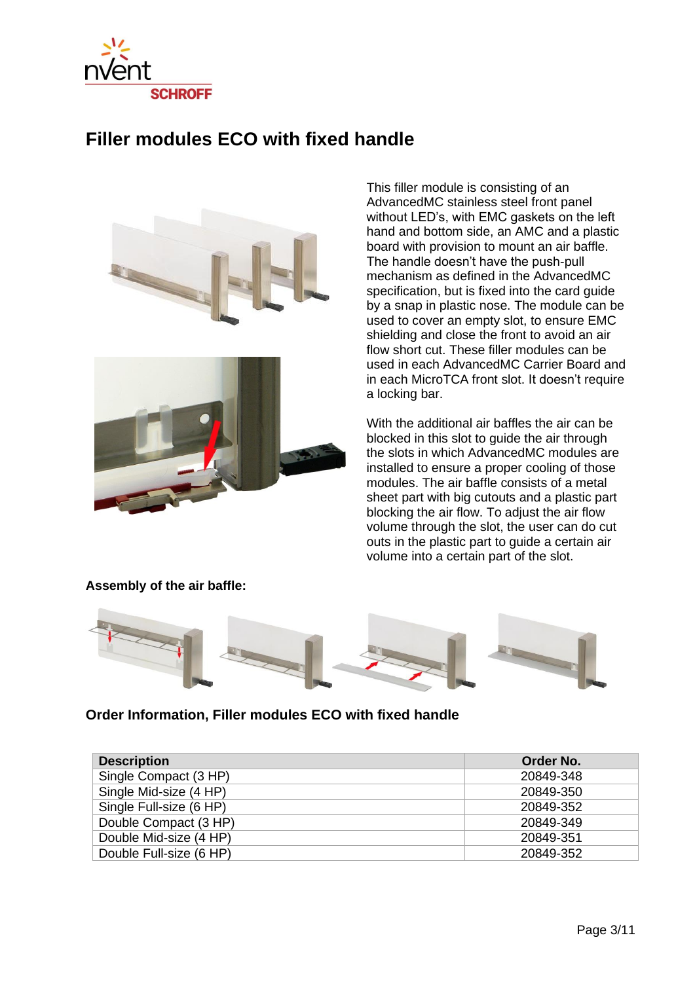

## **Filler modules ECO with fixed handle**





This filler module is consisting of an AdvancedMC stainless steel front panel without LED's, with EMC gaskets on the left hand and bottom side, an AMC and a plastic board with provision to mount an air baffle. The handle doesn't have the push-pull mechanism as defined in the AdvancedMC specification, but is fixed into the card guide by a snap in plastic nose. The module can be used to cover an empty slot, to ensure EMC shielding and close the front to avoid an air flow short cut. These filler modules can be used in each AdvancedMC Carrier Board and in each MicroTCA front slot. It doesn't require a locking bar.

With the additional air baffles the air can be blocked in this slot to guide the air through the slots in which AdvancedMC modules are installed to ensure a proper cooling of those modules. The air baffle consists of a metal sheet part with big cutouts and a plastic part blocking the air flow. To adjust the air flow volume through the slot, the user can do cut outs in the plastic part to guide a certain air volume into a certain part of the slot.



#### **Assembly of the air baffle:**

### **Order Information, Filler modules ECO with fixed handle**

| <b>Description</b>      | Order No. |
|-------------------------|-----------|
| Single Compact (3 HP)   | 20849-348 |
| Single Mid-size (4 HP)  | 20849-350 |
| Single Full-size (6 HP) | 20849-352 |
| Double Compact (3 HP)   | 20849-349 |
| Double Mid-size (4 HP)  | 20849-351 |
| Double Full-size (6 HP) | 20849-352 |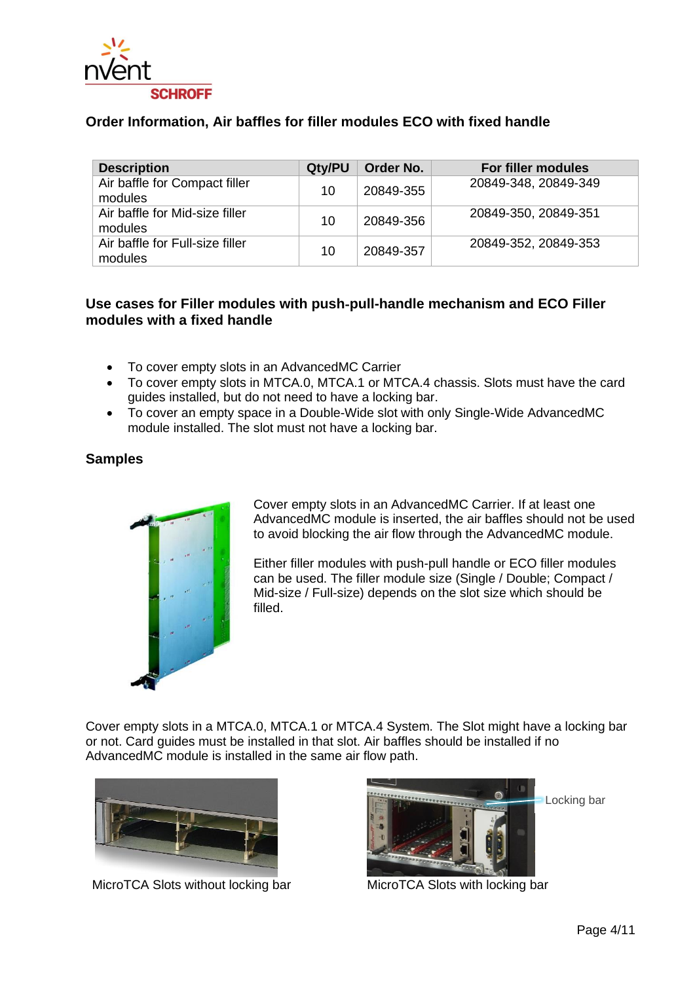

### **Order Information, Air baffles for filler modules ECO with fixed handle**

| <b>Description</b>                         | Qty/PU | Order No. | For filler modules   |
|--------------------------------------------|--------|-----------|----------------------|
| Air baffle for Compact filler<br>modules   | 10     | 20849-355 | 20849-348, 20849-349 |
| Air baffle for Mid-size filler<br>modules  | 10     | 20849-356 | 20849-350, 20849-351 |
| Air baffle for Full-size filler<br>modules | 10     | 20849-357 | 20849-352, 20849-353 |

### **Use cases for Filler modules with push**‐**pull-handle mechanism and ECO Filler modules with a fixed handle**

- To cover empty slots in an AdvancedMC Carrier
- To cover empty slots in MTCA.0, MTCA.1 or MTCA.4 chassis. Slots must have the card guides installed, but do not need to have a locking bar.
- To cover an empty space in a Double-Wide slot with only Single-Wide AdvancedMC module installed. The slot must not have a locking bar.

### **Samples**



Cover empty slots in an AdvancedMC Carrier. If at least one AdvancedMC module is inserted, the air baffles should not be used to avoid blocking the air flow through the AdvancedMC module.

Either filler modules with push-pull handle or ECO filler modules can be used. The filler module size (Single / Double; Compact / Mid-size / Full-size) depends on the slot size which should be filled.

Cover empty slots in a MTCA.0, MTCA.1 or MTCA.4 System. The Slot might have a locking bar or not. Card guides must be installed in that slot. Air baffles should be installed if no AdvancedMC module is installed in the same air flow path.



MicroTCA Slots without locking bar MicroTCA Slots with locking bar

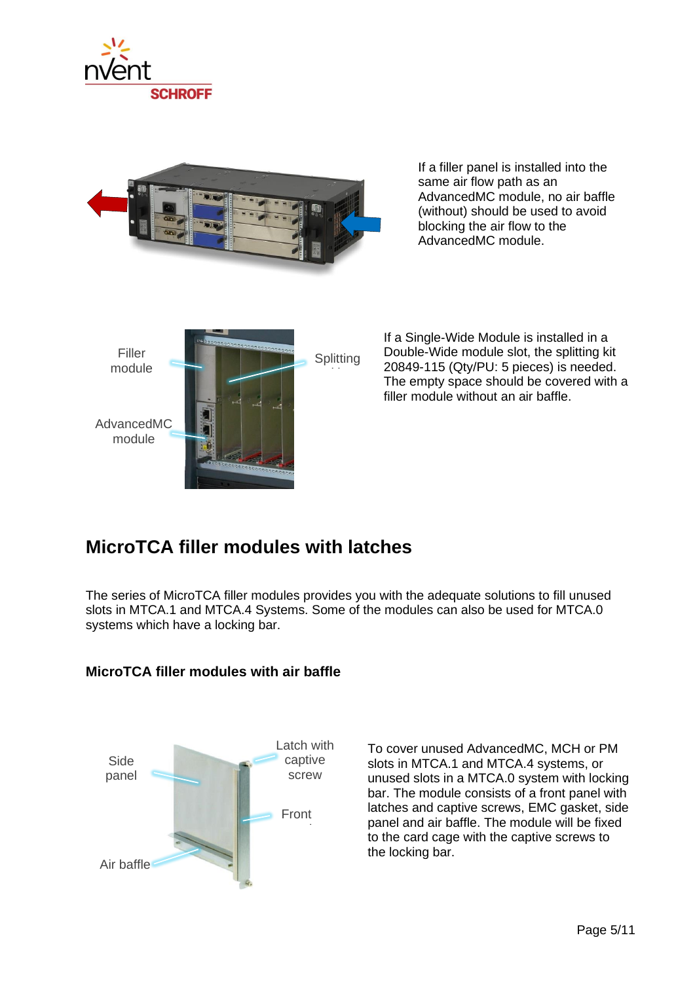



If a filler panel is installed into the same air flow path as an AdvancedMC module, no air baffle (without) should be used to avoid blocking the air flow to the AdvancedMC module.



If a Single-Wide Module is installed in a Double-Wide module slot, the splitting kit 20849-115 (Qty/PU: 5 pieces) is needed. The empty space should be covered with a filler module without an air baffle.

## **MicroTCA filler modules with latches**

The series of MicroTCA filler modules provides you with the adequate solutions to fill unused slots in MTCA.1 and MTCA.4 Systems. Some of the modules can also be used for MTCA.0 systems which have a locking bar.



**MicroTCA filler modules with air baffle**

To cover unused AdvancedMC, MCH or PM slots in MTCA.1 and MTCA.4 systems, or unused slots in a MTCA.0 system with locking bar. The module consists of a front panel with latches and captive screws, EMC gasket, side panel and air baffle. The module will be fixed to the card cage with the captive screws to the locking bar.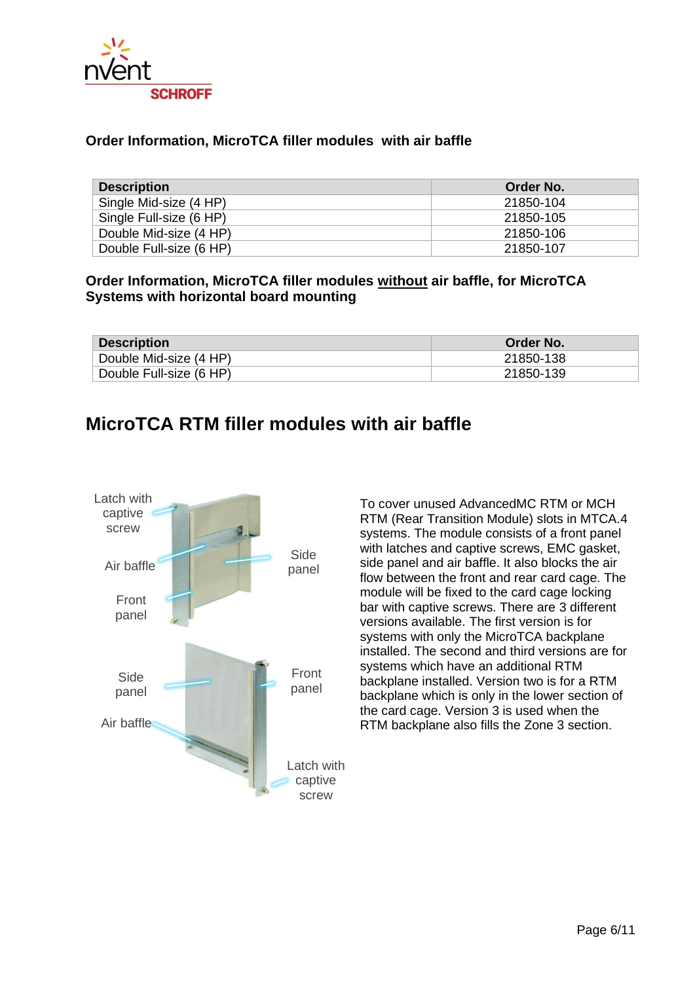

### **Order Information, MicroTCA filler modules with air baffle**

| <b>Description</b>      | Order No. |
|-------------------------|-----------|
| Single Mid-size (4 HP)  | 21850-104 |
| Single Full-size (6 HP) | 21850-105 |
| Double Mid-size (4 HP)  | 21850-106 |
| Double Full-size (6 HP) | 21850-107 |

#### **Order Information, MicroTCA filler modules without air baffle, for MicroTCA Systems with horizontal board mounting**

| <b>Description</b>      | <b>Order No.</b> |
|-------------------------|------------------|
| Double Mid-size (4 HP)  | 21850-138        |
| Double Full-size (6 HP) | 21850-139        |

### **MicroTCA RTM filler modules with air baffle**



To cover unused AdvancedMC RTM or MCH RTM (Rear Transition Module) slots in MTCA.4 systems. The module consists of a front panel with latches and captive screws, EMC gasket, side panel and air baffle. It also blocks the air flow between the front and rear card cage. The module will be fixed to the card cage locking bar with captive screws. There are 3 different versions available. The first version is for systems with only the MicroTCA backplane installed. The second and third versions are for systems which have an additional RTM backplane installed. Version two is for a RTM backplane which is only in the lower section of the card cage. Version 3 is used when the RTM backplane also fills the Zone 3 section.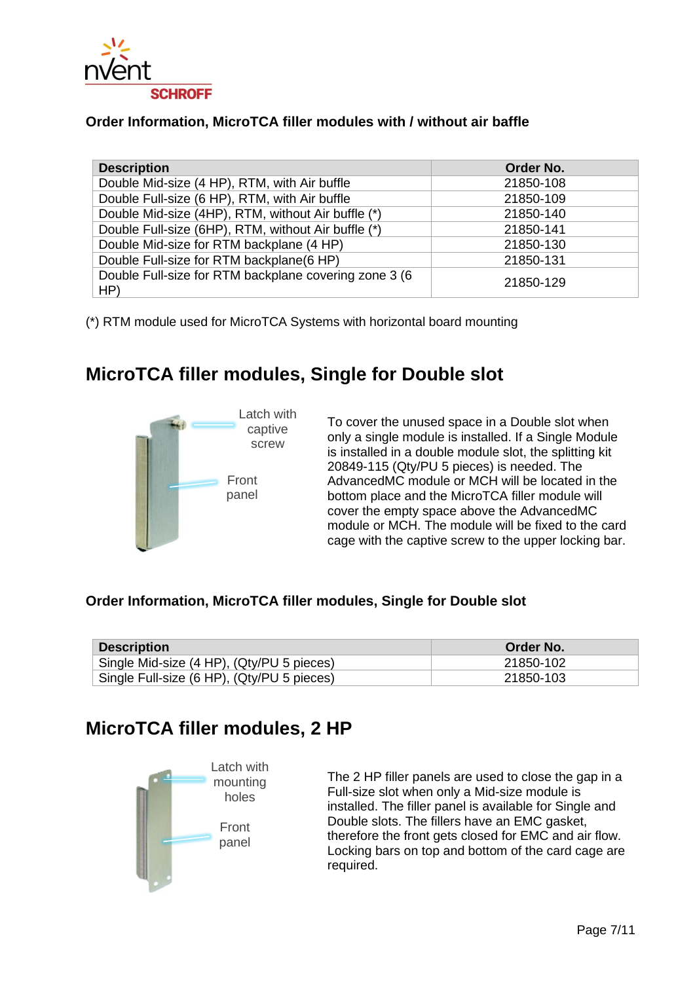

### **Order Information, MicroTCA filler modules with / without air baffle**

| <b>Description</b>                                            | Order No. |
|---------------------------------------------------------------|-----------|
| Double Mid-size (4 HP), RTM, with Air buffle                  | 21850-108 |
| Double Full-size (6 HP), RTM, with Air buffle                 | 21850-109 |
| Double Mid-size (4HP), RTM, without Air buffle (*)            | 21850-140 |
| Double Full-size (6HP), RTM, without Air buffle (*)           | 21850-141 |
| Double Mid-size for RTM backplane (4 HP)                      | 21850-130 |
| Double Full-size for RTM backplane(6 HP)                      | 21850-131 |
| Double Full-size for RTM backplane covering zone 3 (6)<br>HP) | 21850-129 |

(\*) RTM module used for MicroTCA Systems with horizontal board mounting

# **MicroTCA filler modules, Single for Double slot**



To cover the unused space in a Double slot when only a single module is installed. If a Single Module is installed in a double module slot, the splitting kit 20849-115 (Qty/PU 5 pieces) is needed. The AdvancedMC module or MCH will be located in the bottom place and the MicroTCA filler module will cover the empty space above the AdvancedMC module or MCH. The module will be fixed to the card cage with the captive screw to the upper locking bar.

#### **Order Information, MicroTCA filler modules, Single for Double slot**

| <b>Description</b>                         | Order No. |
|--------------------------------------------|-----------|
| Single Mid-size (4 HP), (Qty/PU 5 pieces)  | 21850-102 |
| Single Full-size (6 HP), (Qty/PU 5 pieces) | 21850-103 |

### **MicroTCA filler modules, 2 HP**



The 2 HP filler panels are used to close the gap in a Full-size slot when only a Mid-size module is installed. The filler panel is available for Single and Double slots. The fillers have an EMC gasket, therefore the front gets closed for EMC and air flow. Locking bars on top and bottom of the card cage are required.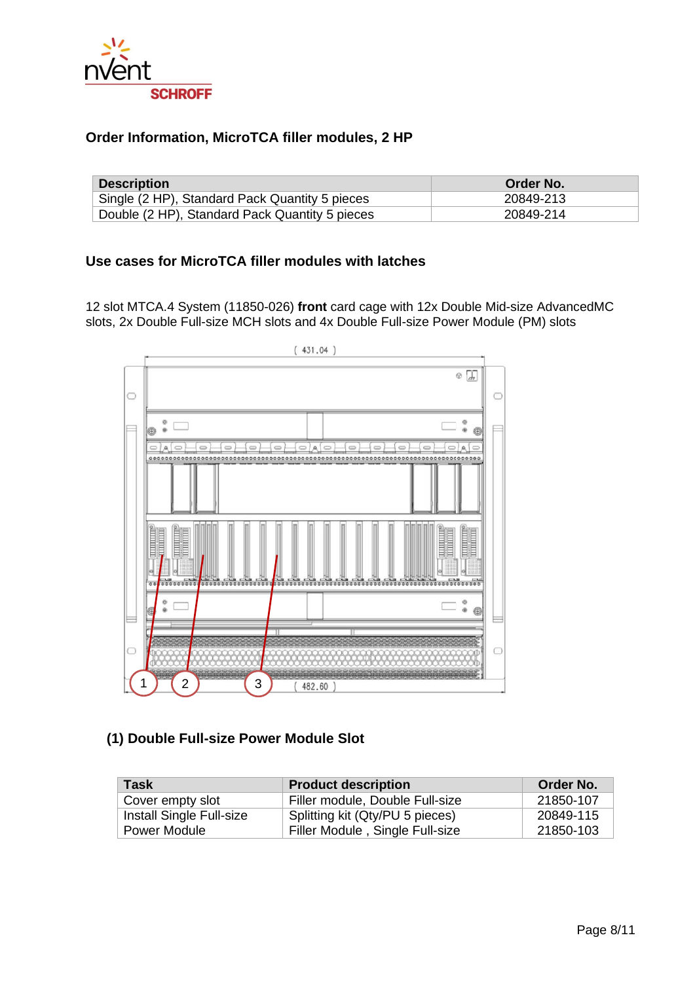

### **Order Information, MicroTCA filler modules, 2 HP**

| <b>Description</b>                             | Order No. |
|------------------------------------------------|-----------|
| Single (2 HP), Standard Pack Quantity 5 pieces | 20849-213 |
| Double (2 HP), Standard Pack Quantity 5 pieces | 20849-214 |

### **Use cases for MicroTCA filler modules with latches**

12 slot MTCA.4 System (11850-026) **front** card cage with 12x Double Mid-size AdvancedMC slots, 2x Double Full-size MCH slots and 4x Double Full-size Power Module (PM) slots



### **(1) Double Full-size Power Module Slot**

| Task                     | <b>Product description</b>      | Order No. |
|--------------------------|---------------------------------|-----------|
| Cover empty slot         | Filler module, Double Full-size | 21850-107 |
| Install Single Full-size | Splitting kit (Qty/PU 5 pieces) | 20849-115 |
| Power Module             | Filler Module, Single Full-size | 21850-103 |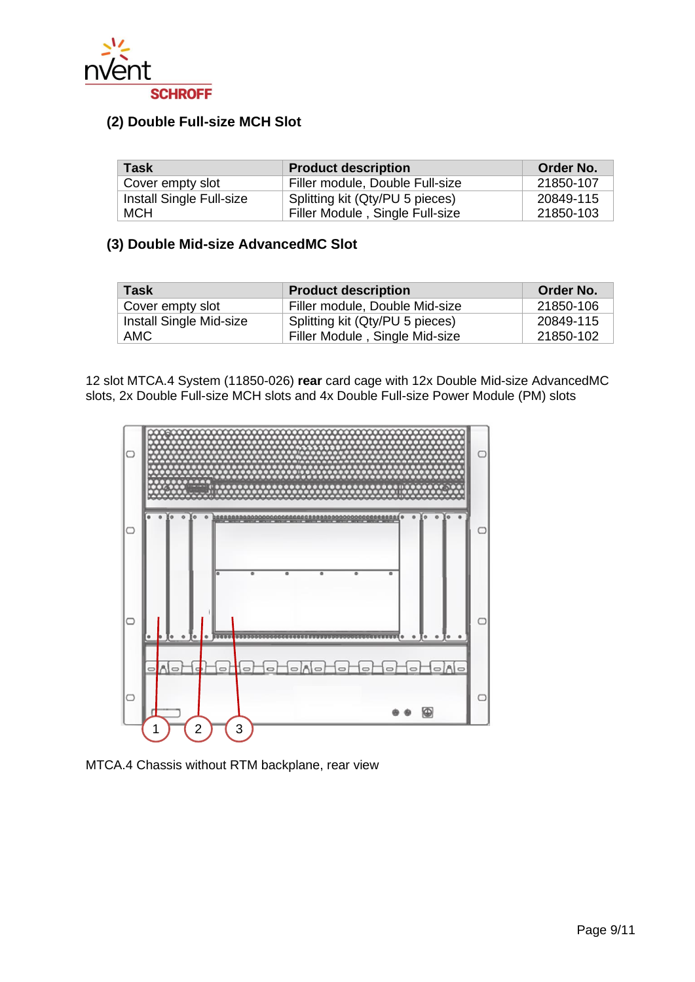

### **(2) Double Full-size MCH Slot**

| Task                     | <b>Product description</b>      | Order No. |
|--------------------------|---------------------------------|-----------|
| Cover empty slot         | Filler module, Double Full-size | 21850-107 |
| Install Single Full-size | Splitting kit (Qty/PU 5 pieces) | 20849-115 |
| <b>MCH</b>               | Filler Module, Single Full-size | 21850-103 |

### **(3) Double Mid-size AdvancedMC Slot**

| <b>Task</b>             | <b>Product description</b>      | Order No. |
|-------------------------|---------------------------------|-----------|
| Cover empty slot        | Filler module, Double Mid-size  | 21850-106 |
| Install Single Mid-size | Splitting kit (Qty/PU 5 pieces) | 20849-115 |
| <b>AMC</b>              | Filler Module, Single Mid-size  | 21850-102 |

12 slot MTCA.4 System (11850-026) **rear** card cage with 12x Double Mid-size AdvancedMC slots, 2x Double Full-size MCH slots and 4x Double Full-size Power Module (PM) slots



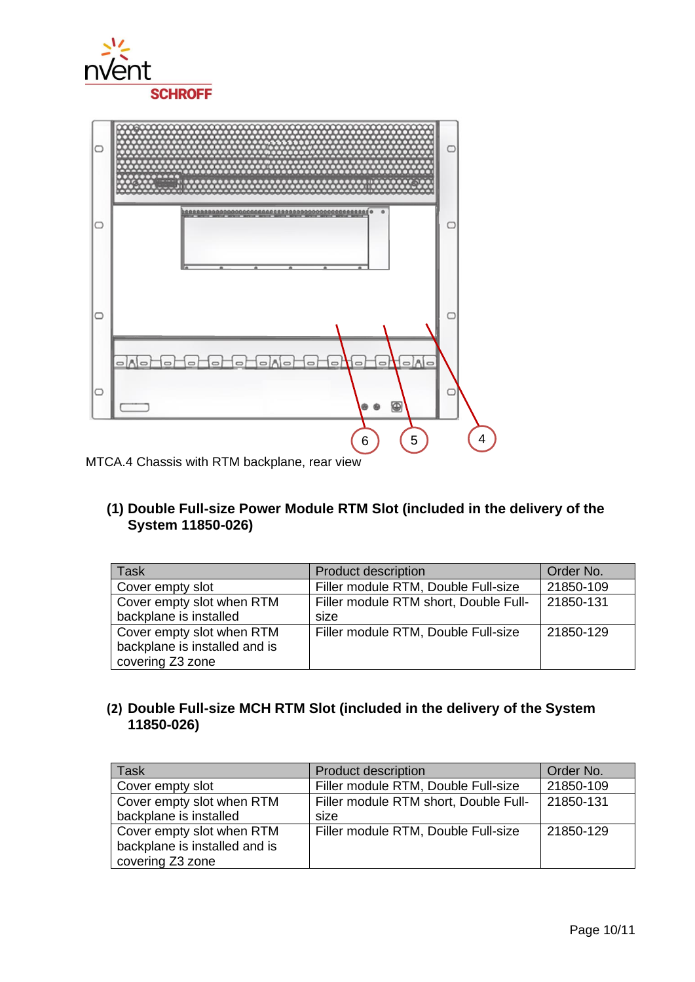



MTCA.4 Chassis with RTM backplane, rear view

**(1) Double Full-size Power Module RTM Slot (included in the delivery of the System 11850-026)**

| <b>Task</b>                   | <b>Product description</b>            | Order No. |
|-------------------------------|---------------------------------------|-----------|
| Cover empty slot              | Filler module RTM, Double Full-size   | 21850-109 |
| Cover empty slot when RTM     | Filler module RTM short, Double Full- | 21850-131 |
| backplane is installed        | size                                  |           |
| Cover empty slot when RTM     | Filler module RTM, Double Full-size   | 21850-129 |
| backplane is installed and is |                                       |           |
| covering Z3 zone              |                                       |           |

### **(2) Double Full-size MCH RTM Slot (included in the delivery of the System 11850-026)**

| <b>Task</b>                   | <b>Product description</b>            | Order No. |
|-------------------------------|---------------------------------------|-----------|
| Cover empty slot              | Filler module RTM, Double Full-size   | 21850-109 |
| Cover empty slot when RTM     | Filler module RTM short, Double Full- | 21850-131 |
| backplane is installed        | size                                  |           |
| Cover empty slot when RTM     | Filler module RTM, Double Full-size   | 21850-129 |
| backplane is installed and is |                                       |           |
| covering Z3 zone              |                                       |           |